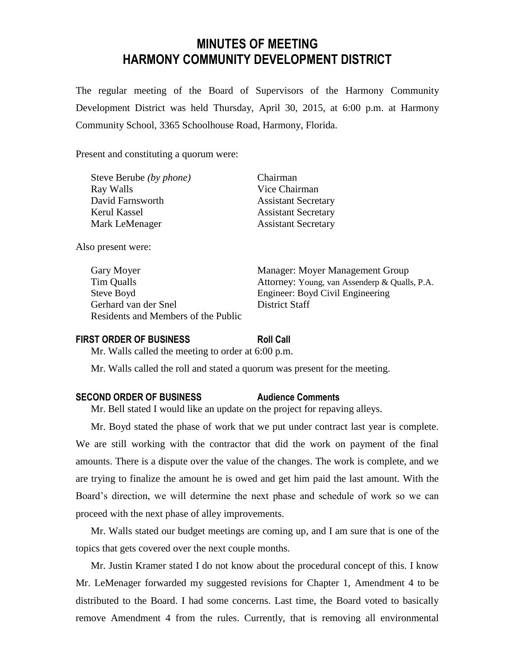# **MINUTES OF MEETING HARMONY COMMUNITY DEVELOPMENT DISTRICT**

The regular meeting of the Board of Supervisors of the Harmony Community Development District was held Thursday, April 30, 2015, at 6:00 p.m. at Harmony Community School, 3365 Schoolhouse Road, Harmony, Florida.

Present and constituting a quorum were:

| Steve Berube (by phone) | Chairman  |
|-------------------------|-----------|
| Ray Walls               | Vice Chai |
| David Farnsworth        | Assistant |
| Kerul Kassel            | Assistant |
| Mark LeMenager          | Assistant |

Also present were:

Steve Boyd Engineer: Boyd Civil Engineering Gerhard van der Snel District Staff Residents and Members of the Public

 $\mathbb{C}$ hairman ant Secretary ant Secretary ant Secretary

Gary Moyer **Manager:** Moyer Management Group Tim Qualls Attorney: Young, van Assenderp & Qualls, P.A.

#### **FIRST ORDER OF BUSINESS Roll Call**

Mr. Walls called the meeting to order at 6:00 p.m.

Mr. Walls called the roll and stated a quorum was present for the meeting.

### **SECOND ORDER OF BUSINESS Audience Comments**

Mr. Bell stated I would like an update on the project for repaving alleys.

Mr. Boyd stated the phase of work that we put under contract last year is complete. We are still working with the contractor that did the work on payment of the final amounts. There is a dispute over the value of the changes. The work is complete, and we are trying to finalize the amount he is owed and get him paid the last amount. With the Board's direction, we will determine the next phase and schedule of work so we can proceed with the next phase of alley improvements.

Mr. Walls stated our budget meetings are coming up, and I am sure that is one of the topics that gets covered over the next couple months.

Mr. Justin Kramer stated I do not know about the procedural concept of this. I know Mr. LeMenager forwarded my suggested revisions for Chapter 1, Amendment 4 to be distributed to the Board. I had some concerns. Last time, the Board voted to basically remove Amendment 4 from the rules. Currently, that is removing all environmental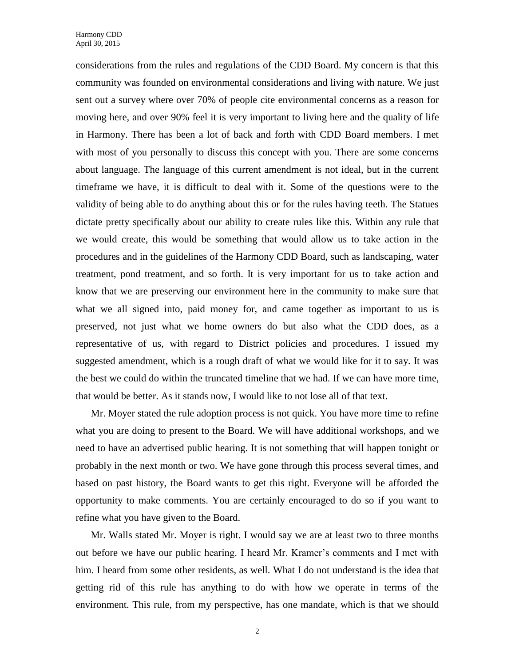considerations from the rules and regulations of the CDD Board. My concern is that this community was founded on environmental considerations and living with nature. We just sent out a survey where over 70% of people cite environmental concerns as a reason for moving here, and over 90% feel it is very important to living here and the quality of life in Harmony. There has been a lot of back and forth with CDD Board members. I met with most of you personally to discuss this concept with you. There are some concerns about language. The language of this current amendment is not ideal, but in the current timeframe we have, it is difficult to deal with it. Some of the questions were to the validity of being able to do anything about this or for the rules having teeth. The Statues dictate pretty specifically about our ability to create rules like this. Within any rule that we would create, this would be something that would allow us to take action in the procedures and in the guidelines of the Harmony CDD Board, such as landscaping, water treatment, pond treatment, and so forth. It is very important for us to take action and know that we are preserving our environment here in the community to make sure that what we all signed into, paid money for, and came together as important to us is preserved, not just what we home owners do but also what the CDD does, as a representative of us, with regard to District policies and procedures. I issued my suggested amendment, which is a rough draft of what we would like for it to say. It was the best we could do within the truncated timeline that we had. If we can have more time, that would be better. As it stands now, I would like to not lose all of that text.

Mr. Moyer stated the rule adoption process is not quick. You have more time to refine what you are doing to present to the Board. We will have additional workshops, and we need to have an advertised public hearing. It is not something that will happen tonight or probably in the next month or two. We have gone through this process several times, and based on past history, the Board wants to get this right. Everyone will be afforded the opportunity to make comments. You are certainly encouraged to do so if you want to refine what you have given to the Board.

Mr. Walls stated Mr. Moyer is right. I would say we are at least two to three months out before we have our public hearing. I heard Mr. Kramer's comments and I met with him. I heard from some other residents, as well. What I do not understand is the idea that getting rid of this rule has anything to do with how we operate in terms of the environment. This rule, from my perspective, has one mandate, which is that we should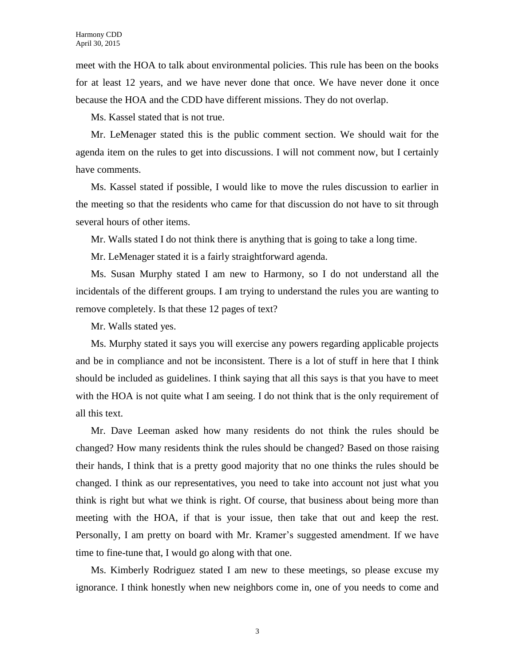meet with the HOA to talk about environmental policies. This rule has been on the books for at least 12 years, and we have never done that once. We have never done it once because the HOA and the CDD have different missions. They do not overlap.

Ms. Kassel stated that is not true.

Mr. LeMenager stated this is the public comment section. We should wait for the agenda item on the rules to get into discussions. I will not comment now, but I certainly have comments.

Ms. Kassel stated if possible, I would like to move the rules discussion to earlier in the meeting so that the residents who came for that discussion do not have to sit through several hours of other items.

Mr. Walls stated I do not think there is anything that is going to take a long time.

Mr. LeMenager stated it is a fairly straightforward agenda.

Ms. Susan Murphy stated I am new to Harmony, so I do not understand all the incidentals of the different groups. I am trying to understand the rules you are wanting to remove completely. Is that these 12 pages of text?

Mr. Walls stated yes.

Ms. Murphy stated it says you will exercise any powers regarding applicable projects and be in compliance and not be inconsistent. There is a lot of stuff in here that I think should be included as guidelines. I think saying that all this says is that you have to meet with the HOA is not quite what I am seeing. I do not think that is the only requirement of all this text.

Mr. Dave Leeman asked how many residents do not think the rules should be changed? How many residents think the rules should be changed? Based on those raising their hands, I think that is a pretty good majority that no one thinks the rules should be changed. I think as our representatives, you need to take into account not just what you think is right but what we think is right. Of course, that business about being more than meeting with the HOA, if that is your issue, then take that out and keep the rest. Personally, I am pretty on board with Mr. Kramer's suggested amendment. If we have time to fine-tune that, I would go along with that one.

Ms. Kimberly Rodriguez stated I am new to these meetings, so please excuse my ignorance. I think honestly when new neighbors come in, one of you needs to come and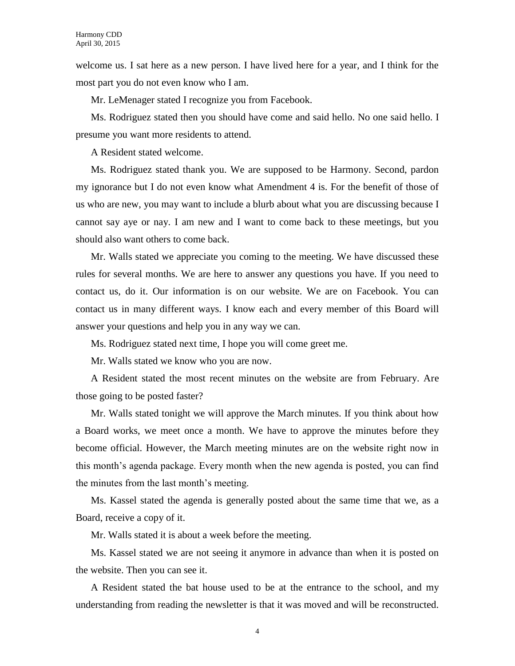welcome us. I sat here as a new person. I have lived here for a year, and I think for the most part you do not even know who I am.

Mr. LeMenager stated I recognize you from Facebook.

Ms. Rodriguez stated then you should have come and said hello. No one said hello. I presume you want more residents to attend.

A Resident stated welcome.

Ms. Rodriguez stated thank you. We are supposed to be Harmony. Second, pardon my ignorance but I do not even know what Amendment 4 is. For the benefit of those of us who are new, you may want to include a blurb about what you are discussing because I cannot say aye or nay. I am new and I want to come back to these meetings, but you should also want others to come back.

Mr. Walls stated we appreciate you coming to the meeting. We have discussed these rules for several months. We are here to answer any questions you have. If you need to contact us, do it. Our information is on our website. We are on Facebook. You can contact us in many different ways. I know each and every member of this Board will answer your questions and help you in any way we can.

Ms. Rodriguez stated next time, I hope you will come greet me.

Mr. Walls stated we know who you are now.

A Resident stated the most recent minutes on the website are from February. Are those going to be posted faster?

Mr. Walls stated tonight we will approve the March minutes. If you think about how a Board works, we meet once a month. We have to approve the minutes before they become official. However, the March meeting minutes are on the website right now in this month's agenda package. Every month when the new agenda is posted, you can find the minutes from the last month's meeting.

Ms. Kassel stated the agenda is generally posted about the same time that we, as a Board, receive a copy of it.

Mr. Walls stated it is about a week before the meeting.

Ms. Kassel stated we are not seeing it anymore in advance than when it is posted on the website. Then you can see it.

A Resident stated the bat house used to be at the entrance to the school, and my understanding from reading the newsletter is that it was moved and will be reconstructed.

4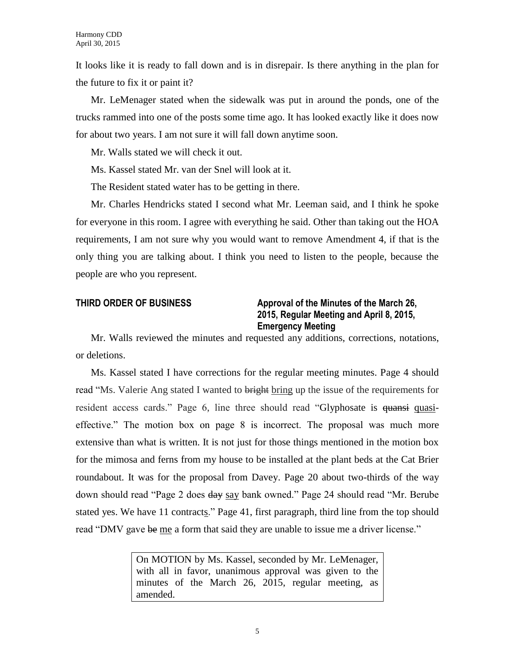It looks like it is ready to fall down and is in disrepair. Is there anything in the plan for the future to fix it or paint it?

Mr. LeMenager stated when the sidewalk was put in around the ponds, one of the trucks rammed into one of the posts some time ago. It has looked exactly like it does now for about two years. I am not sure it will fall down anytime soon.

Mr. Walls stated we will check it out.

Ms. Kassel stated Mr. van der Snel will look at it.

The Resident stated water has to be getting in there.

Mr. Charles Hendricks stated I second what Mr. Leeman said, and I think he spoke for everyone in this room. I agree with everything he said. Other than taking out the HOA requirements, I am not sure why you would want to remove Amendment 4, if that is the only thing you are talking about. I think you need to listen to the people, because the people are who you represent.

## **THIRD ORDER OF BUSINESS Approval of the Minutes of the March 26, 2015, Regular Meeting and April 8, 2015, Emergency Meeting**

Mr. Walls reviewed the minutes and requested any additions, corrections, notations, or deletions.

Ms. Kassel stated I have corrections for the regular meeting minutes. Page 4 should read "Ms. Valerie Ang stated I wanted to bright bring up the issue of the requirements for resident access cards." Page 6, line three should read "Glyphosate is quansi quasieffective." The motion box on page 8 is incorrect. The proposal was much more extensive than what is written. It is not just for those things mentioned in the motion box for the mimosa and ferns from my house to be installed at the plant beds at the Cat Brier roundabout. It was for the proposal from Davey. Page 20 about two-thirds of the way down should read "Page 2 does day say bank owned." Page 24 should read "Mr. Berube stated yes. We have 11 contracts." Page 41, first paragraph, third line from the top should read "DMV gave be me a form that said they are unable to issue me a driver license."

> On MOTION by Ms. Kassel, seconded by Mr. LeMenager, with all in favor, unanimous approval was given to the minutes of the March 26, 2015, regular meeting, as amended.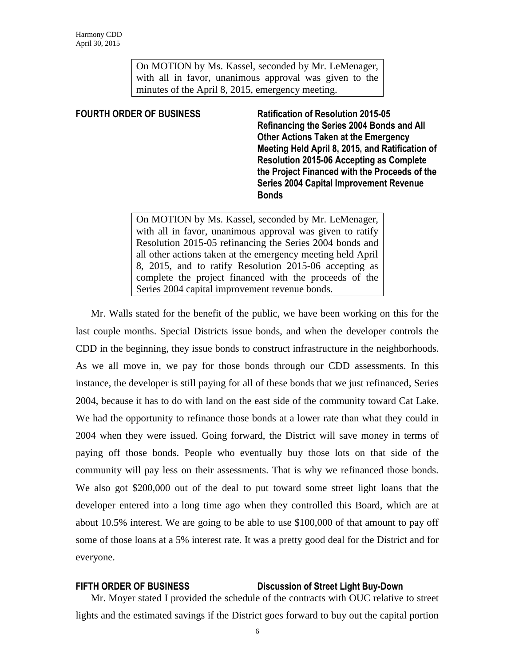On MOTION by Ms. Kassel, seconded by Mr. LeMenager, with all in favor, unanimous approval was given to the minutes of the April 8, 2015, emergency meeting.

**FOURTH ORDER OF BUSINESS Ratification of Resolution 2015-05 Refinancing the Series 2004 Bonds and All Other Actions Taken at the Emergency Meeting Held April 8, 2015, and Ratification of Resolution 2015-06 Accepting as Complete the Project Financed with the Proceeds of the Series 2004 Capital Improvement Revenue Bonds**

> On MOTION by Ms. Kassel, seconded by Mr. LeMenager, with all in favor, unanimous approval was given to ratify Resolution 2015-05 refinancing the Series 2004 bonds and all other actions taken at the emergency meeting held April 8, 2015, and to ratify Resolution 2015-06 accepting as complete the project financed with the proceeds of the Series 2004 capital improvement revenue bonds.

Mr. Walls stated for the benefit of the public, we have been working on this for the last couple months. Special Districts issue bonds, and when the developer controls the CDD in the beginning, they issue bonds to construct infrastructure in the neighborhoods. As we all move in, we pay for those bonds through our CDD assessments. In this instance, the developer is still paying for all of these bonds that we just refinanced, Series 2004, because it has to do with land on the east side of the community toward Cat Lake. We had the opportunity to refinance those bonds at a lower rate than what they could in 2004 when they were issued. Going forward, the District will save money in terms of paying off those bonds. People who eventually buy those lots on that side of the community will pay less on their assessments. That is why we refinanced those bonds. We also got \$200,000 out of the deal to put toward some street light loans that the developer entered into a long time ago when they controlled this Board, which are at about 10.5% interest. We are going to be able to use \$100,000 of that amount to pay off some of those loans at a 5% interest rate. It was a pretty good deal for the District and for everyone.

## **FIFTH ORDER OF BUSINESS Discussion of Street Light Buy-Down**

Mr. Moyer stated I provided the schedule of the contracts with OUC relative to street lights and the estimated savings if the District goes forward to buy out the capital portion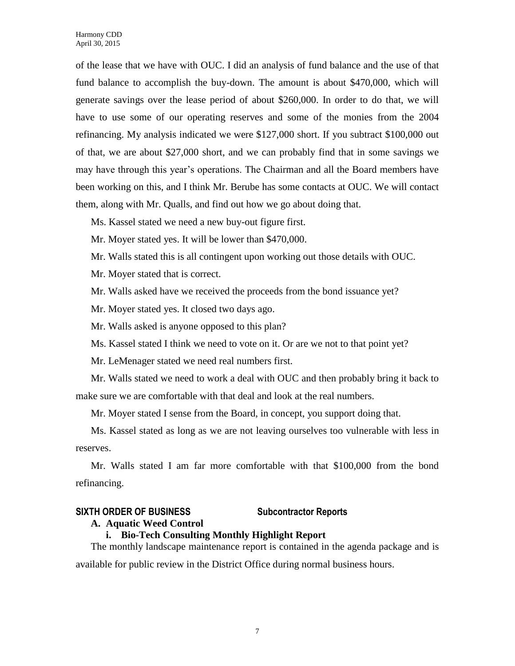of the lease that we have with OUC. I did an analysis of fund balance and the use of that fund balance to accomplish the buy-down. The amount is about \$470,000, which will generate savings over the lease period of about \$260,000. In order to do that, we will have to use some of our operating reserves and some of the monies from the 2004 refinancing. My analysis indicated we were \$127,000 short. If you subtract \$100,000 out of that, we are about \$27,000 short, and we can probably find that in some savings we may have through this year's operations. The Chairman and all the Board members have been working on this, and I think Mr. Berube has some contacts at OUC. We will contact them, along with Mr. Qualls, and find out how we go about doing that.

Ms. Kassel stated we need a new buy-out figure first.

Mr. Moyer stated yes. It will be lower than \$470,000.

Mr. Walls stated this is all contingent upon working out those details with OUC.

Mr. Moyer stated that is correct.

Mr. Walls asked have we received the proceeds from the bond issuance yet?

Mr. Moyer stated yes. It closed two days ago.

Mr. Walls asked is anyone opposed to this plan?

Ms. Kassel stated I think we need to vote on it. Or are we not to that point yet?

Mr. LeMenager stated we need real numbers first.

Mr. Walls stated we need to work a deal with OUC and then probably bring it back to make sure we are comfortable with that deal and look at the real numbers.

Mr. Moyer stated I sense from the Board, in concept, you support doing that.

Ms. Kassel stated as long as we are not leaving ourselves too vulnerable with less in reserves.

Mr. Walls stated I am far more comfortable with that \$100,000 from the bond refinancing.

## **SIXTH ORDER OF BUSINESS Subcontractor Reports**

## **A. Aquatic Weed Control**

## **i. Bio-Tech Consulting Monthly Highlight Report**

The monthly landscape maintenance report is contained in the agenda package and is available for public review in the District Office during normal business hours.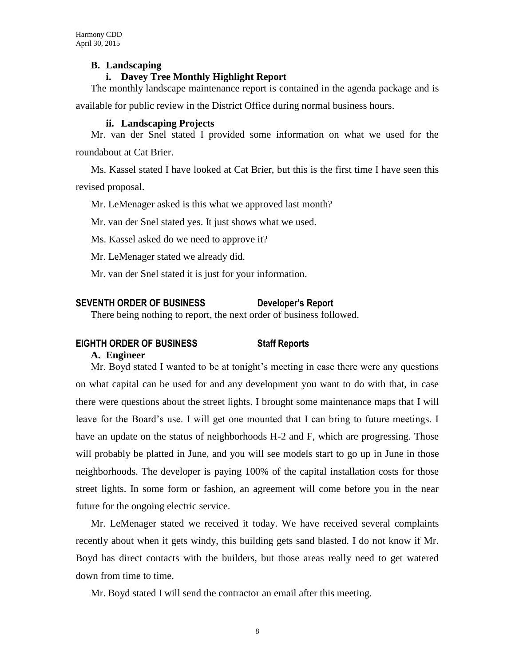## **B. Landscaping**

## **i. Davey Tree Monthly Highlight Report**

The monthly landscape maintenance report is contained in the agenda package and is

available for public review in the District Office during normal business hours.

### **ii. Landscaping Projects**

Mr. van der Snel stated I provided some information on what we used for the roundabout at Cat Brier.

Ms. Kassel stated I have looked at Cat Brier, but this is the first time I have seen this revised proposal.

Mr. LeMenager asked is this what we approved last month?

Mr. van der Snel stated yes. It just shows what we used.

Ms. Kassel asked do we need to approve it?

Mr. LeMenager stated we already did.

Mr. van der Snel stated it is just for your information.

## **SEVENTH ORDER OF BUSINESS Developer's Report**

There being nothing to report, the next order of business followed.

## **EIGHTH ORDER OF BUSINESS Staff Reports**

### **A. Engineer**

Mr. Boyd stated I wanted to be at tonight's meeting in case there were any questions on what capital can be used for and any development you want to do with that, in case there were questions about the street lights. I brought some maintenance maps that I will leave for the Board's use. I will get one mounted that I can bring to future meetings. I have an update on the status of neighborhoods H-2 and F, which are progressing. Those will probably be platted in June, and you will see models start to go up in June in those neighborhoods. The developer is paying 100% of the capital installation costs for those street lights. In some form or fashion, an agreement will come before you in the near future for the ongoing electric service.

Mr. LeMenager stated we received it today. We have received several complaints recently about when it gets windy, this building gets sand blasted. I do not know if Mr. Boyd has direct contacts with the builders, but those areas really need to get watered down from time to time.

Mr. Boyd stated I will send the contractor an email after this meeting.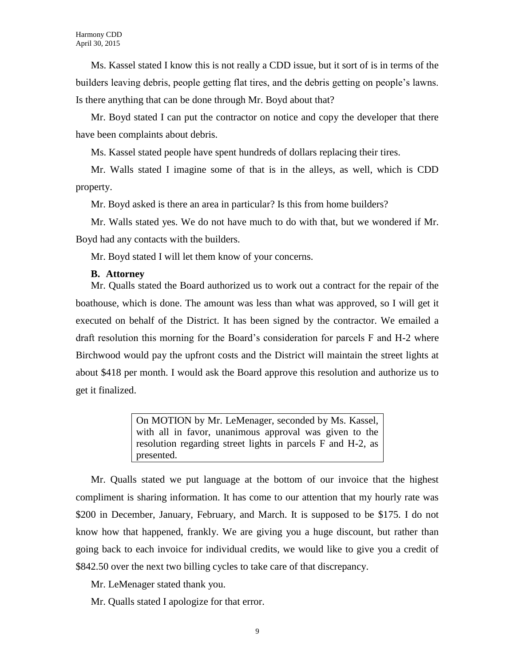Ms. Kassel stated I know this is not really a CDD issue, but it sort of is in terms of the builders leaving debris, people getting flat tires, and the debris getting on people's lawns. Is there anything that can be done through Mr. Boyd about that?

Mr. Boyd stated I can put the contractor on notice and copy the developer that there have been complaints about debris.

Ms. Kassel stated people have spent hundreds of dollars replacing their tires.

Mr. Walls stated I imagine some of that is in the alleys, as well, which is CDD property.

Mr. Boyd asked is there an area in particular? Is this from home builders?

Mr. Walls stated yes. We do not have much to do with that, but we wondered if Mr. Boyd had any contacts with the builders.

Mr. Boyd stated I will let them know of your concerns.

## **B. Attorney**

Mr. Qualls stated the Board authorized us to work out a contract for the repair of the boathouse, which is done. The amount was less than what was approved, so I will get it executed on behalf of the District. It has been signed by the contractor. We emailed a draft resolution this morning for the Board's consideration for parcels F and H-2 where Birchwood would pay the upfront costs and the District will maintain the street lights at about \$418 per month. I would ask the Board approve this resolution and authorize us to get it finalized.

> On MOTION by Mr. LeMenager, seconded by Ms. Kassel, with all in favor, unanimous approval was given to the resolution regarding street lights in parcels F and H-2, as presented.

Mr. Qualls stated we put language at the bottom of our invoice that the highest compliment is sharing information. It has come to our attention that my hourly rate was \$200 in December, January, February, and March. It is supposed to be \$175. I do not know how that happened, frankly. We are giving you a huge discount, but rather than going back to each invoice for individual credits, we would like to give you a credit of \$842.50 over the next two billing cycles to take care of that discrepancy.

Mr. LeMenager stated thank you.

Mr. Qualls stated I apologize for that error.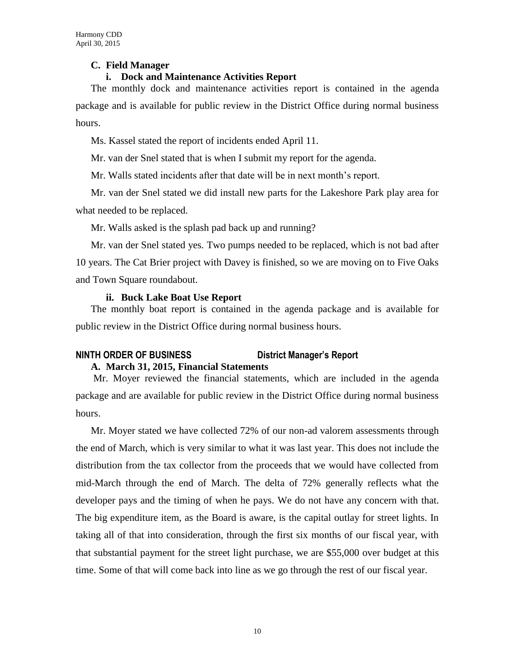## **C. Field Manager**

## **i. Dock and Maintenance Activities Report**

The monthly dock and maintenance activities report is contained in the agenda package and is available for public review in the District Office during normal business hours.

Ms. Kassel stated the report of incidents ended April 11.

Mr. van der Snel stated that is when I submit my report for the agenda.

Mr. Walls stated incidents after that date will be in next month's report.

Mr. van der Snel stated we did install new parts for the Lakeshore Park play area for what needed to be replaced.

Mr. Walls asked is the splash pad back up and running?

Mr. van der Snel stated yes. Two pumps needed to be replaced, which is not bad after 10 years. The Cat Brier project with Davey is finished, so we are moving on to Five Oaks and Town Square roundabout.

## **ii. Buck Lake Boat Use Report**

The monthly boat report is contained in the agenda package and is available for public review in the District Office during normal business hours.

## **NINTH ORDER OF BUSINESS District Manager's Report A. March 31, 2015, Financial Statements**

Mr. Moyer reviewed the financial statements, which are included in the agenda package and are available for public review in the District Office during normal business hours.

Mr. Moyer stated we have collected 72% of our non-ad valorem assessments through the end of March, which is very similar to what it was last year. This does not include the distribution from the tax collector from the proceeds that we would have collected from mid-March through the end of March. The delta of 72% generally reflects what the developer pays and the timing of when he pays. We do not have any concern with that. The big expenditure item, as the Board is aware, is the capital outlay for street lights. In taking all of that into consideration, through the first six months of our fiscal year, with that substantial payment for the street light purchase, we are \$55,000 over budget at this time. Some of that will come back into line as we go through the rest of our fiscal year.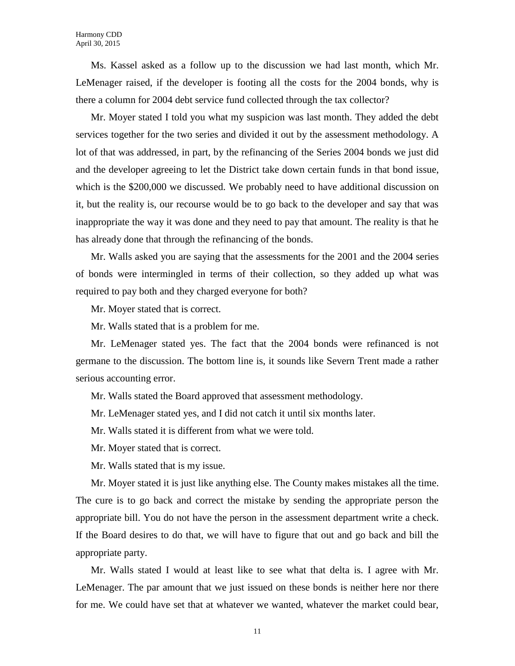Ms. Kassel asked as a follow up to the discussion we had last month, which Mr. LeMenager raised, if the developer is footing all the costs for the 2004 bonds, why is there a column for 2004 debt service fund collected through the tax collector?

Mr. Moyer stated I told you what my suspicion was last month. They added the debt services together for the two series and divided it out by the assessment methodology. A lot of that was addressed, in part, by the refinancing of the Series 2004 bonds we just did and the developer agreeing to let the District take down certain funds in that bond issue, which is the \$200,000 we discussed. We probably need to have additional discussion on it, but the reality is, our recourse would be to go back to the developer and say that was inappropriate the way it was done and they need to pay that amount. The reality is that he has already done that through the refinancing of the bonds.

Mr. Walls asked you are saying that the assessments for the 2001 and the 2004 series of bonds were intermingled in terms of their collection, so they added up what was required to pay both and they charged everyone for both?

Mr. Moyer stated that is correct.

Mr. Walls stated that is a problem for me.

Mr. LeMenager stated yes. The fact that the 2004 bonds were refinanced is not germane to the discussion. The bottom line is, it sounds like Severn Trent made a rather serious accounting error.

Mr. Walls stated the Board approved that assessment methodology.

Mr. LeMenager stated yes, and I did not catch it until six months later.

Mr. Walls stated it is different from what we were told.

Mr. Moyer stated that is correct.

Mr. Walls stated that is my issue.

Mr. Moyer stated it is just like anything else. The County makes mistakes all the time. The cure is to go back and correct the mistake by sending the appropriate person the appropriate bill. You do not have the person in the assessment department write a check. If the Board desires to do that, we will have to figure that out and go back and bill the appropriate party.

Mr. Walls stated I would at least like to see what that delta is. I agree with Mr. LeMenager. The par amount that we just issued on these bonds is neither here nor there for me. We could have set that at whatever we wanted, whatever the market could bear,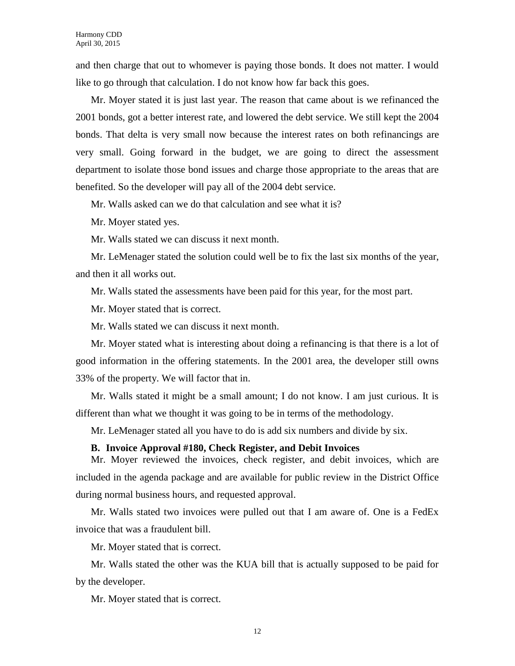and then charge that out to whomever is paying those bonds. It does not matter. I would like to go through that calculation. I do not know how far back this goes.

Mr. Moyer stated it is just last year. The reason that came about is we refinanced the 2001 bonds, got a better interest rate, and lowered the debt service. We still kept the 2004 bonds. That delta is very small now because the interest rates on both refinancings are very small. Going forward in the budget, we are going to direct the assessment department to isolate those bond issues and charge those appropriate to the areas that are benefited. So the developer will pay all of the 2004 debt service.

Mr. Walls asked can we do that calculation and see what it is?

Mr. Moyer stated yes.

Mr. Walls stated we can discuss it next month.

Mr. LeMenager stated the solution could well be to fix the last six months of the year, and then it all works out.

Mr. Walls stated the assessments have been paid for this year, for the most part.

Mr. Moyer stated that is correct.

Mr. Walls stated we can discuss it next month.

Mr. Moyer stated what is interesting about doing a refinancing is that there is a lot of good information in the offering statements. In the 2001 area, the developer still owns 33% of the property. We will factor that in.

Mr. Walls stated it might be a small amount; I do not know. I am just curious. It is different than what we thought it was going to be in terms of the methodology.

Mr. LeMenager stated all you have to do is add six numbers and divide by six.

#### **B. Invoice Approval #180, Check Register, and Debit Invoices**

Mr. Moyer reviewed the invoices, check register, and debit invoices, which are included in the agenda package and are available for public review in the District Office during normal business hours, and requested approval.

Mr. Walls stated two invoices were pulled out that I am aware of. One is a FedEx invoice that was a fraudulent bill.

Mr. Moyer stated that is correct.

Mr. Walls stated the other was the KUA bill that is actually supposed to be paid for by the developer.

Mr. Moyer stated that is correct.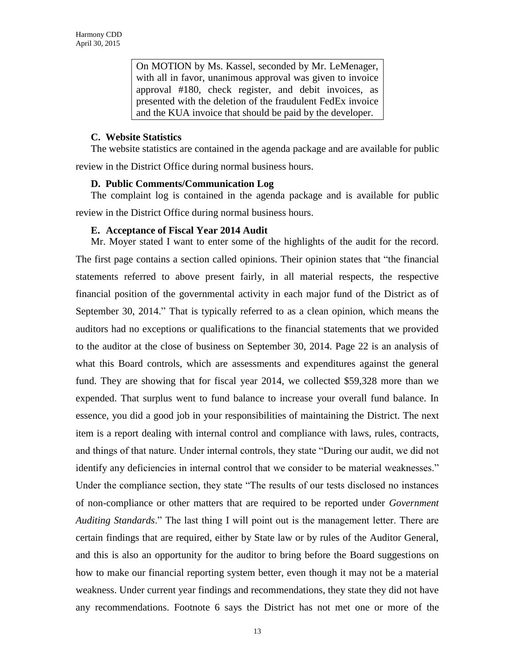On MOTION by Ms. Kassel, seconded by Mr. LeMenager, with all in favor, unanimous approval was given to invoice approval #180, check register, and debit invoices, as presented with the deletion of the fraudulent FedEx invoice and the KUA invoice that should be paid by the developer.

## **C. Website Statistics**

The website statistics are contained in the agenda package and are available for public

review in the District Office during normal business hours.

#### **D. Public Comments/Communication Log**

The complaint log is contained in the agenda package and is available for public review in the District Office during normal business hours.

## **E. Acceptance of Fiscal Year 2014 Audit**

Mr. Moyer stated I want to enter some of the highlights of the audit for the record. The first page contains a section called opinions. Their opinion states that "the financial statements referred to above present fairly, in all material respects, the respective financial position of the governmental activity in each major fund of the District as of September 30, 2014." That is typically referred to as a clean opinion, which means the auditors had no exceptions or qualifications to the financial statements that we provided to the auditor at the close of business on September 30, 2014. Page 22 is an analysis of what this Board controls, which are assessments and expenditures against the general fund. They are showing that for fiscal year 2014, we collected \$59,328 more than we expended. That surplus went to fund balance to increase your overall fund balance. In essence, you did a good job in your responsibilities of maintaining the District. The next item is a report dealing with internal control and compliance with laws, rules, contracts, and things of that nature. Under internal controls, they state "During our audit, we did not identify any deficiencies in internal control that we consider to be material weaknesses." Under the compliance section, they state "The results of our tests disclosed no instances of non-compliance or other matters that are required to be reported under *Government Auditing Standards*." The last thing I will point out is the management letter. There are certain findings that are required, either by State law or by rules of the Auditor General, and this is also an opportunity for the auditor to bring before the Board suggestions on how to make our financial reporting system better, even though it may not be a material weakness. Under current year findings and recommendations, they state they did not have any recommendations. Footnote 6 says the District has not met one or more of the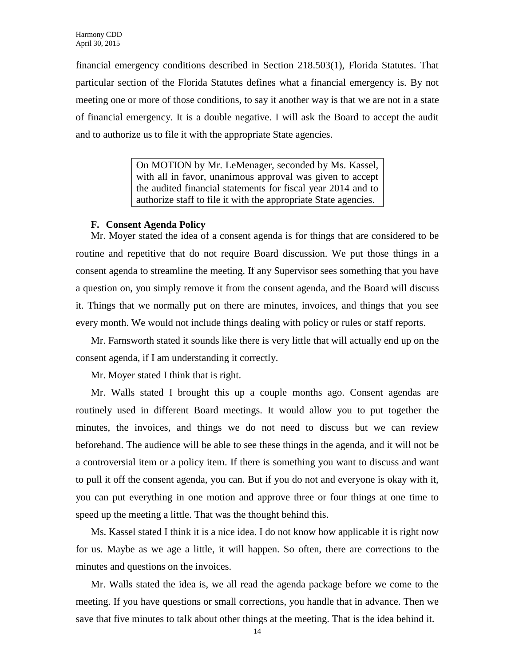financial emergency conditions described in Section 218.503(1), Florida Statutes. That particular section of the Florida Statutes defines what a financial emergency is. By not meeting one or more of those conditions, to say it another way is that we are not in a state of financial emergency. It is a double negative. I will ask the Board to accept the audit and to authorize us to file it with the appropriate State agencies.

> On MOTION by Mr. LeMenager, seconded by Ms. Kassel, with all in favor, unanimous approval was given to accept the audited financial statements for fiscal year 2014 and to authorize staff to file it with the appropriate State agencies.

## **F. Consent Agenda Policy**

Mr. Moyer stated the idea of a consent agenda is for things that are considered to be routine and repetitive that do not require Board discussion. We put those things in a consent agenda to streamline the meeting. If any Supervisor sees something that you have a question on, you simply remove it from the consent agenda, and the Board will discuss it. Things that we normally put on there are minutes, invoices, and things that you see every month. We would not include things dealing with policy or rules or staff reports.

Mr. Farnsworth stated it sounds like there is very little that will actually end up on the consent agenda, if I am understanding it correctly.

Mr. Moyer stated I think that is right.

Mr. Walls stated I brought this up a couple months ago. Consent agendas are routinely used in different Board meetings. It would allow you to put together the minutes, the invoices, and things we do not need to discuss but we can review beforehand. The audience will be able to see these things in the agenda, and it will not be a controversial item or a policy item. If there is something you want to discuss and want to pull it off the consent agenda, you can. But if you do not and everyone is okay with it, you can put everything in one motion and approve three or four things at one time to speed up the meeting a little. That was the thought behind this.

Ms. Kassel stated I think it is a nice idea. I do not know how applicable it is right now for us. Maybe as we age a little, it will happen. So often, there are corrections to the minutes and questions on the invoices.

Mr. Walls stated the idea is, we all read the agenda package before we come to the meeting. If you have questions or small corrections, you handle that in advance. Then we save that five minutes to talk about other things at the meeting. That is the idea behind it.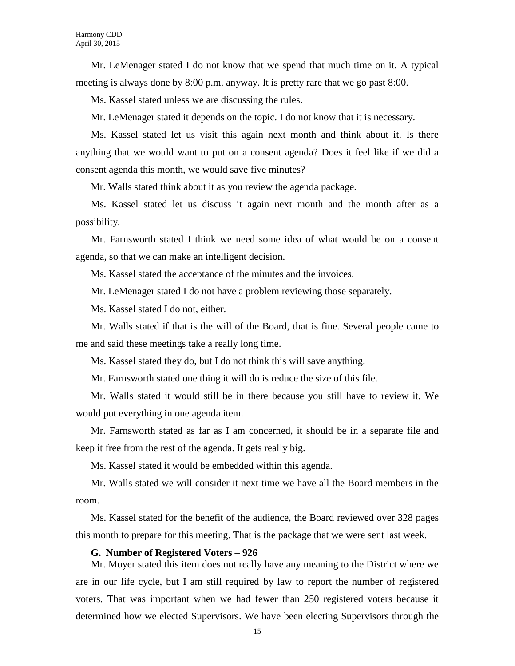Mr. LeMenager stated I do not know that we spend that much time on it. A typical meeting is always done by 8:00 p.m. anyway. It is pretty rare that we go past 8:00.

Ms. Kassel stated unless we are discussing the rules.

Mr. LeMenager stated it depends on the topic. I do not know that it is necessary.

Ms. Kassel stated let us visit this again next month and think about it. Is there anything that we would want to put on a consent agenda? Does it feel like if we did a consent agenda this month, we would save five minutes?

Mr. Walls stated think about it as you review the agenda package.

Ms. Kassel stated let us discuss it again next month and the month after as a possibility.

Mr. Farnsworth stated I think we need some idea of what would be on a consent agenda, so that we can make an intelligent decision.

Ms. Kassel stated the acceptance of the minutes and the invoices.

Mr. LeMenager stated I do not have a problem reviewing those separately.

Ms. Kassel stated I do not, either.

Mr. Walls stated if that is the will of the Board, that is fine. Several people came to me and said these meetings take a really long time.

Ms. Kassel stated they do, but I do not think this will save anything.

Mr. Farnsworth stated one thing it will do is reduce the size of this file.

Mr. Walls stated it would still be in there because you still have to review it. We would put everything in one agenda item.

Mr. Farnsworth stated as far as I am concerned, it should be in a separate file and keep it free from the rest of the agenda. It gets really big.

Ms. Kassel stated it would be embedded within this agenda.

Mr. Walls stated we will consider it next time we have all the Board members in the room.

Ms. Kassel stated for the benefit of the audience, the Board reviewed over 328 pages this month to prepare for this meeting. That is the package that we were sent last week.

#### **G. Number of Registered Voters – 926**

Mr. Moyer stated this item does not really have any meaning to the District where we are in our life cycle, but I am still required by law to report the number of registered voters. That was important when we had fewer than 250 registered voters because it determined how we elected Supervisors. We have been electing Supervisors through the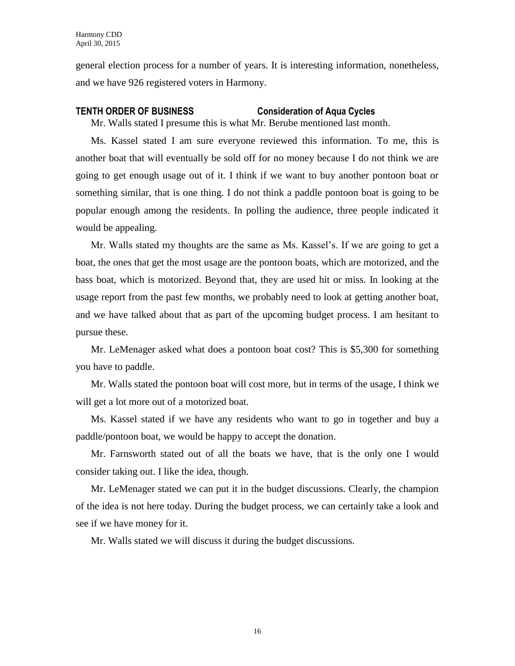general election process for a number of years. It is interesting information, nonetheless, and we have 926 registered voters in Harmony.

## **TENTH ORDER OF BUSINESS Consideration of Aqua Cycles**

Mr. Walls stated I presume this is what Mr. Berube mentioned last month.

Ms. Kassel stated I am sure everyone reviewed this information. To me, this is another boat that will eventually be sold off for no money because I do not think we are going to get enough usage out of it. I think if we want to buy another pontoon boat or something similar, that is one thing. I do not think a paddle pontoon boat is going to be popular enough among the residents. In polling the audience, three people indicated it would be appealing.

Mr. Walls stated my thoughts are the same as Ms. Kassel's. If we are going to get a boat, the ones that get the most usage are the pontoon boats, which are motorized, and the bass boat, which is motorized. Beyond that, they are used hit or miss. In looking at the usage report from the past few months, we probably need to look at getting another boat, and we have talked about that as part of the upcoming budget process. I am hesitant to pursue these.

Mr. LeMenager asked what does a pontoon boat cost? This is \$5,300 for something you have to paddle.

Mr. Walls stated the pontoon boat will cost more, but in terms of the usage, I think we will get a lot more out of a motorized boat.

Ms. Kassel stated if we have any residents who want to go in together and buy a paddle/pontoon boat, we would be happy to accept the donation.

Mr. Farnsworth stated out of all the boats we have, that is the only one I would consider taking out. I like the idea, though.

Mr. LeMenager stated we can put it in the budget discussions. Clearly, the champion of the idea is not here today. During the budget process, we can certainly take a look and see if we have money for it.

Mr. Walls stated we will discuss it during the budget discussions.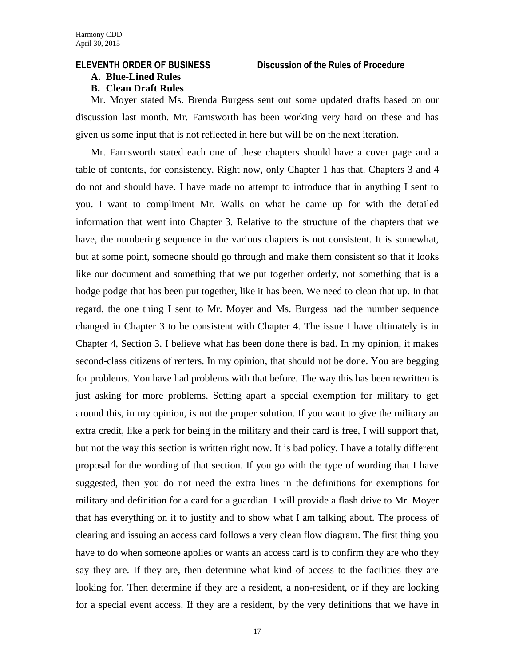## **ELEVENTH ORDER OF BUSINESS Discussion of the Rules of Procedure**

### **A. Blue-Lined Rules**

## **B. Clean Draft Rules**

Mr. Moyer stated Ms. Brenda Burgess sent out some updated drafts based on our discussion last month. Mr. Farnsworth has been working very hard on these and has given us some input that is not reflected in here but will be on the next iteration.

Mr. Farnsworth stated each one of these chapters should have a cover page and a table of contents, for consistency. Right now, only Chapter 1 has that. Chapters 3 and 4 do not and should have. I have made no attempt to introduce that in anything I sent to you. I want to compliment Mr. Walls on what he came up for with the detailed information that went into Chapter 3. Relative to the structure of the chapters that we have, the numbering sequence in the various chapters is not consistent. It is somewhat, but at some point, someone should go through and make them consistent so that it looks like our document and something that we put together orderly, not something that is a hodge podge that has been put together, like it has been. We need to clean that up. In that regard, the one thing I sent to Mr. Moyer and Ms. Burgess had the number sequence changed in Chapter 3 to be consistent with Chapter 4. The issue I have ultimately is in Chapter 4, Section 3. I believe what has been done there is bad. In my opinion, it makes second-class citizens of renters. In my opinion, that should not be done. You are begging for problems. You have had problems with that before. The way this has been rewritten is just asking for more problems. Setting apart a special exemption for military to get around this, in my opinion, is not the proper solution. If you want to give the military an extra credit, like a perk for being in the military and their card is free, I will support that, but not the way this section is written right now. It is bad policy. I have a totally different proposal for the wording of that section. If you go with the type of wording that I have suggested, then you do not need the extra lines in the definitions for exemptions for military and definition for a card for a guardian. I will provide a flash drive to Mr. Moyer that has everything on it to justify and to show what I am talking about. The process of clearing and issuing an access card follows a very clean flow diagram. The first thing you have to do when someone applies or wants an access card is to confirm they are who they say they are. If they are, then determine what kind of access to the facilities they are looking for. Then determine if they are a resident, a non-resident, or if they are looking for a special event access. If they are a resident, by the very definitions that we have in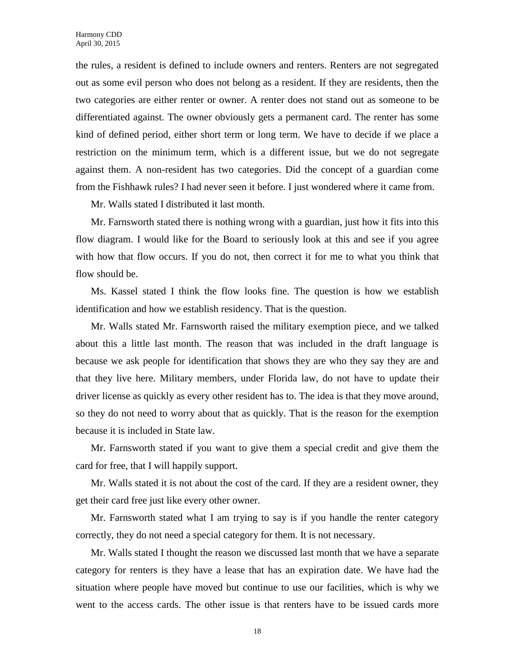the rules, a resident is defined to include owners and renters. Renters are not segregated out as some evil person who does not belong as a resident. If they are residents, then the two categories are either renter or owner. A renter does not stand out as someone to be differentiated against. The owner obviously gets a permanent card. The renter has some kind of defined period, either short term or long term. We have to decide if we place a restriction on the minimum term, which is a different issue, but we do not segregate against them. A non-resident has two categories. Did the concept of a guardian come from the Fishhawk rules? I had never seen it before. I just wondered where it came from.

Mr. Walls stated I distributed it last month.

Mr. Farnsworth stated there is nothing wrong with a guardian, just how it fits into this flow diagram. I would like for the Board to seriously look at this and see if you agree with how that flow occurs. If you do not, then correct it for me to what you think that flow should be.

Ms. Kassel stated I think the flow looks fine. The question is how we establish identification and how we establish residency. That is the question.

Mr. Walls stated Mr. Farnsworth raised the military exemption piece, and we talked about this a little last month. The reason that was included in the draft language is because we ask people for identification that shows they are who they say they are and that they live here. Military members, under Florida law, do not have to update their driver license as quickly as every other resident has to. The idea is that they move around, so they do not need to worry about that as quickly. That is the reason for the exemption because it is included in State law.

Mr. Farnsworth stated if you want to give them a special credit and give them the card for free, that I will happily support.

Mr. Walls stated it is not about the cost of the card. If they are a resident owner, they get their card free just like every other owner.

Mr. Farnsworth stated what I am trying to say is if you handle the renter category correctly, they do not need a special category for them. It is not necessary.

Mr. Walls stated I thought the reason we discussed last month that we have a separate category for renters is they have a lease that has an expiration date. We have had the situation where people have moved but continue to use our facilities, which is why we went to the access cards. The other issue is that renters have to be issued cards more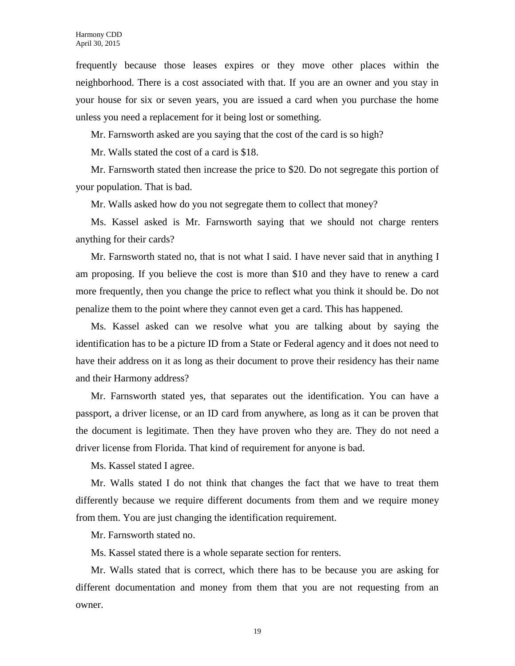frequently because those leases expires or they move other places within the neighborhood. There is a cost associated with that. If you are an owner and you stay in your house for six or seven years, you are issued a card when you purchase the home unless you need a replacement for it being lost or something.

Mr. Farnsworth asked are you saying that the cost of the card is so high?

Mr. Walls stated the cost of a card is \$18.

Mr. Farnsworth stated then increase the price to \$20. Do not segregate this portion of your population. That is bad.

Mr. Walls asked how do you not segregate them to collect that money?

Ms. Kassel asked is Mr. Farnsworth saying that we should not charge renters anything for their cards?

Mr. Farnsworth stated no, that is not what I said. I have never said that in anything I am proposing. If you believe the cost is more than \$10 and they have to renew a card more frequently, then you change the price to reflect what you think it should be. Do not penalize them to the point where they cannot even get a card. This has happened.

Ms. Kassel asked can we resolve what you are talking about by saying the identification has to be a picture ID from a State or Federal agency and it does not need to have their address on it as long as their document to prove their residency has their name and their Harmony address?

Mr. Farnsworth stated yes, that separates out the identification. You can have a passport, a driver license, or an ID card from anywhere, as long as it can be proven that the document is legitimate. Then they have proven who they are. They do not need a driver license from Florida. That kind of requirement for anyone is bad.

Ms. Kassel stated I agree.

Mr. Walls stated I do not think that changes the fact that we have to treat them differently because we require different documents from them and we require money from them. You are just changing the identification requirement.

Mr. Farnsworth stated no.

Ms. Kassel stated there is a whole separate section for renters.

Mr. Walls stated that is correct, which there has to be because you are asking for different documentation and money from them that you are not requesting from an owner.

19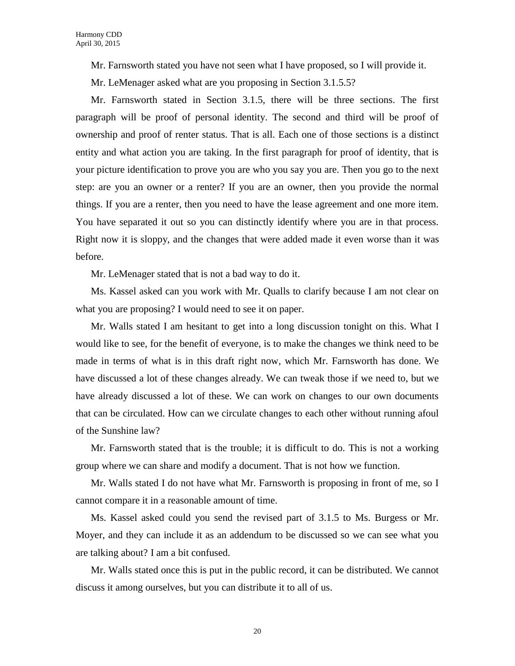Mr. Farnsworth stated you have not seen what I have proposed, so I will provide it.

Mr. LeMenager asked what are you proposing in Section 3.1.5.5?

Mr. Farnsworth stated in Section 3.1.5, there will be three sections. The first paragraph will be proof of personal identity. The second and third will be proof of ownership and proof of renter status. That is all. Each one of those sections is a distinct entity and what action you are taking. In the first paragraph for proof of identity, that is your picture identification to prove you are who you say you are. Then you go to the next step: are you an owner or a renter? If you are an owner, then you provide the normal things. If you are a renter, then you need to have the lease agreement and one more item. You have separated it out so you can distinctly identify where you are in that process. Right now it is sloppy, and the changes that were added made it even worse than it was before.

Mr. LeMenager stated that is not a bad way to do it.

Ms. Kassel asked can you work with Mr. Qualls to clarify because I am not clear on what you are proposing? I would need to see it on paper.

Mr. Walls stated I am hesitant to get into a long discussion tonight on this. What I would like to see, for the benefit of everyone, is to make the changes we think need to be made in terms of what is in this draft right now, which Mr. Farnsworth has done. We have discussed a lot of these changes already. We can tweak those if we need to, but we have already discussed a lot of these. We can work on changes to our own documents that can be circulated. How can we circulate changes to each other without running afoul of the Sunshine law?

Mr. Farnsworth stated that is the trouble; it is difficult to do. This is not a working group where we can share and modify a document. That is not how we function.

Mr. Walls stated I do not have what Mr. Farnsworth is proposing in front of me, so I cannot compare it in a reasonable amount of time.

Ms. Kassel asked could you send the revised part of 3.1.5 to Ms. Burgess or Mr. Moyer, and they can include it as an addendum to be discussed so we can see what you are talking about? I am a bit confused.

Mr. Walls stated once this is put in the public record, it can be distributed. We cannot discuss it among ourselves, but you can distribute it to all of us.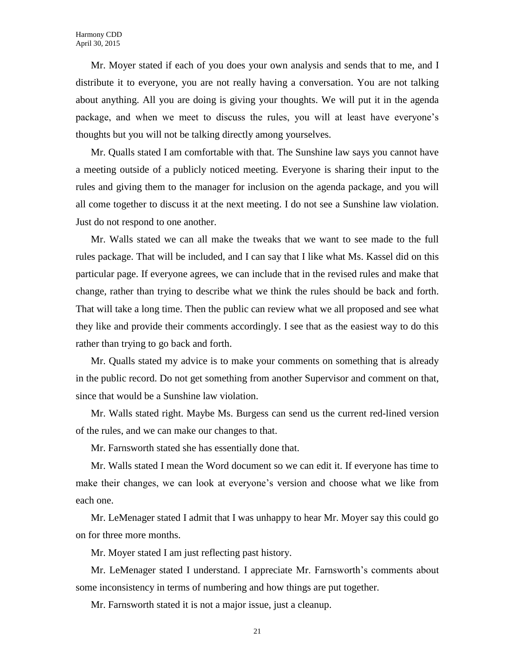Mr. Moyer stated if each of you does your own analysis and sends that to me, and I distribute it to everyone, you are not really having a conversation. You are not talking about anything. All you are doing is giving your thoughts. We will put it in the agenda package, and when we meet to discuss the rules, you will at least have everyone's thoughts but you will not be talking directly among yourselves.

Mr. Qualls stated I am comfortable with that. The Sunshine law says you cannot have a meeting outside of a publicly noticed meeting. Everyone is sharing their input to the rules and giving them to the manager for inclusion on the agenda package, and you will all come together to discuss it at the next meeting. I do not see a Sunshine law violation. Just do not respond to one another.

Mr. Walls stated we can all make the tweaks that we want to see made to the full rules package. That will be included, and I can say that I like what Ms. Kassel did on this particular page. If everyone agrees, we can include that in the revised rules and make that change, rather than trying to describe what we think the rules should be back and forth. That will take a long time. Then the public can review what we all proposed and see what they like and provide their comments accordingly. I see that as the easiest way to do this rather than trying to go back and forth.

Mr. Qualls stated my advice is to make your comments on something that is already in the public record. Do not get something from another Supervisor and comment on that, since that would be a Sunshine law violation.

Mr. Walls stated right. Maybe Ms. Burgess can send us the current red-lined version of the rules, and we can make our changes to that.

Mr. Farnsworth stated she has essentially done that.

Mr. Walls stated I mean the Word document so we can edit it. If everyone has time to make their changes, we can look at everyone's version and choose what we like from each one.

Mr. LeMenager stated I admit that I was unhappy to hear Mr. Moyer say this could go on for three more months.

Mr. Moyer stated I am just reflecting past history.

Mr. LeMenager stated I understand. I appreciate Mr. Farnsworth's comments about some inconsistency in terms of numbering and how things are put together.

Mr. Farnsworth stated it is not a major issue, just a cleanup.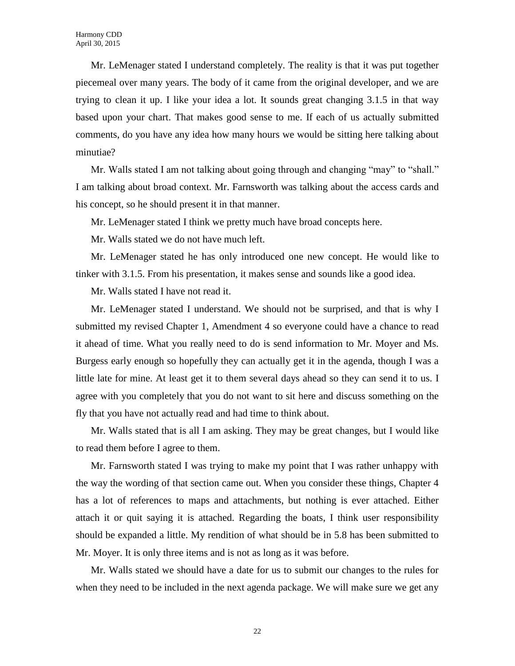Mr. LeMenager stated I understand completely. The reality is that it was put together piecemeal over many years. The body of it came from the original developer, and we are trying to clean it up. I like your idea a lot. It sounds great changing 3.1.5 in that way based upon your chart. That makes good sense to me. If each of us actually submitted comments, do you have any idea how many hours we would be sitting here talking about minutiae?

Mr. Walls stated I am not talking about going through and changing "may" to "shall." I am talking about broad context. Mr. Farnsworth was talking about the access cards and his concept, so he should present it in that manner.

Mr. LeMenager stated I think we pretty much have broad concepts here.

Mr. Walls stated we do not have much left.

Mr. LeMenager stated he has only introduced one new concept. He would like to tinker with 3.1.5. From his presentation, it makes sense and sounds like a good idea.

Mr. Walls stated I have not read it.

Mr. LeMenager stated I understand. We should not be surprised, and that is why I submitted my revised Chapter 1, Amendment 4 so everyone could have a chance to read it ahead of time. What you really need to do is send information to Mr. Moyer and Ms. Burgess early enough so hopefully they can actually get it in the agenda, though I was a little late for mine. At least get it to them several days ahead so they can send it to us. I agree with you completely that you do not want to sit here and discuss something on the fly that you have not actually read and had time to think about.

Mr. Walls stated that is all I am asking. They may be great changes, but I would like to read them before I agree to them.

Mr. Farnsworth stated I was trying to make my point that I was rather unhappy with the way the wording of that section came out. When you consider these things, Chapter 4 has a lot of references to maps and attachments, but nothing is ever attached. Either attach it or quit saying it is attached. Regarding the boats, I think user responsibility should be expanded a little. My rendition of what should be in 5.8 has been submitted to Mr. Moyer. It is only three items and is not as long as it was before.

Mr. Walls stated we should have a date for us to submit our changes to the rules for when they need to be included in the next agenda package. We will make sure we get any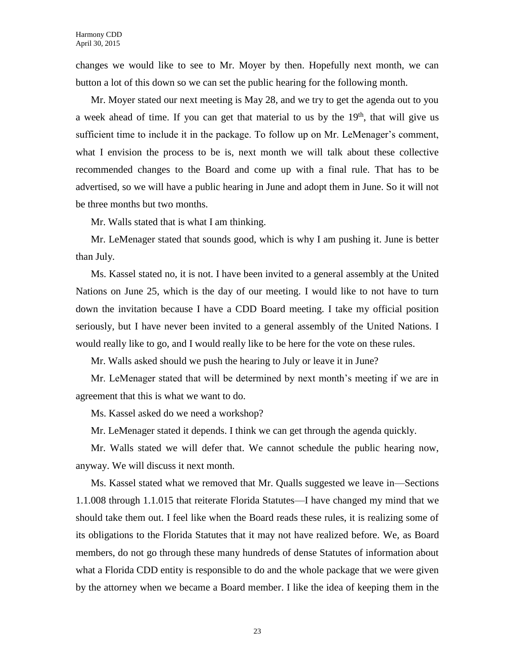changes we would like to see to Mr. Moyer by then. Hopefully next month, we can button a lot of this down so we can set the public hearing for the following month.

Mr. Moyer stated our next meeting is May 28, and we try to get the agenda out to you a week ahead of time. If you can get that material to us by the  $19<sup>th</sup>$ , that will give us sufficient time to include it in the package. To follow up on Mr. LeMenager's comment, what I envision the process to be is, next month we will talk about these collective recommended changes to the Board and come up with a final rule. That has to be advertised, so we will have a public hearing in June and adopt them in June. So it will not be three months but two months.

Mr. Walls stated that is what I am thinking.

Mr. LeMenager stated that sounds good, which is why I am pushing it. June is better than July.

Ms. Kassel stated no, it is not. I have been invited to a general assembly at the United Nations on June 25, which is the day of our meeting. I would like to not have to turn down the invitation because I have a CDD Board meeting. I take my official position seriously, but I have never been invited to a general assembly of the United Nations. I would really like to go, and I would really like to be here for the vote on these rules.

Mr. Walls asked should we push the hearing to July or leave it in June?

Mr. LeMenager stated that will be determined by next month's meeting if we are in agreement that this is what we want to do.

Ms. Kassel asked do we need a workshop?

Mr. LeMenager stated it depends. I think we can get through the agenda quickly.

Mr. Walls stated we will defer that. We cannot schedule the public hearing now, anyway. We will discuss it next month.

Ms. Kassel stated what we removed that Mr. Qualls suggested we leave in—Sections 1.1.008 through 1.1.015 that reiterate Florida Statutes—I have changed my mind that we should take them out. I feel like when the Board reads these rules, it is realizing some of its obligations to the Florida Statutes that it may not have realized before. We, as Board members, do not go through these many hundreds of dense Statutes of information about what a Florida CDD entity is responsible to do and the whole package that we were given by the attorney when we became a Board member. I like the idea of keeping them in the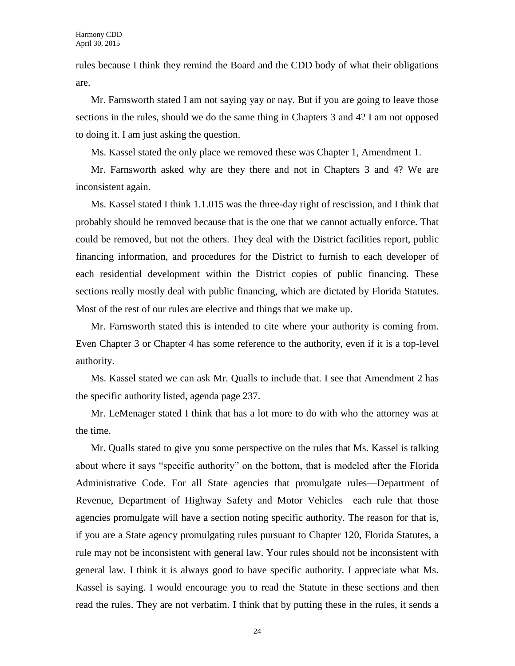rules because I think they remind the Board and the CDD body of what their obligations are.

Mr. Farnsworth stated I am not saying yay or nay. But if you are going to leave those sections in the rules, should we do the same thing in Chapters 3 and 4? I am not opposed to doing it. I am just asking the question.

Ms. Kassel stated the only place we removed these was Chapter 1, Amendment 1.

Mr. Farnsworth asked why are they there and not in Chapters 3 and 4? We are inconsistent again.

Ms. Kassel stated I think 1.1.015 was the three-day right of rescission, and I think that probably should be removed because that is the one that we cannot actually enforce. That could be removed, but not the others. They deal with the District facilities report, public financing information, and procedures for the District to furnish to each developer of each residential development within the District copies of public financing. These sections really mostly deal with public financing, which are dictated by Florida Statutes. Most of the rest of our rules are elective and things that we make up.

Mr. Farnsworth stated this is intended to cite where your authority is coming from. Even Chapter 3 or Chapter 4 has some reference to the authority, even if it is a top-level authority.

Ms. Kassel stated we can ask Mr. Qualls to include that. I see that Amendment 2 has the specific authority listed, agenda page 237.

Mr. LeMenager stated I think that has a lot more to do with who the attorney was at the time.

Mr. Qualls stated to give you some perspective on the rules that Ms. Kassel is talking about where it says "specific authority" on the bottom, that is modeled after the Florida Administrative Code. For all State agencies that promulgate rules—Department of Revenue, Department of Highway Safety and Motor Vehicles—each rule that those agencies promulgate will have a section noting specific authority. The reason for that is, if you are a State agency promulgating rules pursuant to Chapter 120, Florida Statutes, a rule may not be inconsistent with general law. Your rules should not be inconsistent with general law. I think it is always good to have specific authority. I appreciate what Ms. Kassel is saying. I would encourage you to read the Statute in these sections and then read the rules. They are not verbatim. I think that by putting these in the rules, it sends a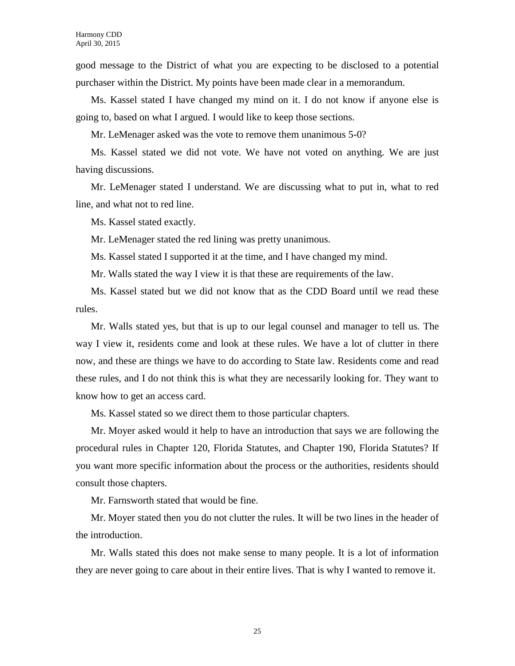good message to the District of what you are expecting to be disclosed to a potential purchaser within the District. My points have been made clear in a memorandum.

Ms. Kassel stated I have changed my mind on it. I do not know if anyone else is going to, based on what I argued. I would like to keep those sections.

Mr. LeMenager asked was the vote to remove them unanimous 5-0?

Ms. Kassel stated we did not vote. We have not voted on anything. We are just having discussions.

Mr. LeMenager stated I understand. We are discussing what to put in, what to red line, and what not to red line.

Ms. Kassel stated exactly.

Mr. LeMenager stated the red lining was pretty unanimous.

Ms. Kassel stated I supported it at the time, and I have changed my mind.

Mr. Walls stated the way I view it is that these are requirements of the law.

Ms. Kassel stated but we did not know that as the CDD Board until we read these rules.

Mr. Walls stated yes, but that is up to our legal counsel and manager to tell us. The way I view it, residents come and look at these rules. We have a lot of clutter in there now, and these are things we have to do according to State law. Residents come and read these rules, and I do not think this is what they are necessarily looking for. They want to know how to get an access card.

Ms. Kassel stated so we direct them to those particular chapters.

Mr. Moyer asked would it help to have an introduction that says we are following the procedural rules in Chapter 120, Florida Statutes, and Chapter 190, Florida Statutes? If you want more specific information about the process or the authorities, residents should consult those chapters.

Mr. Farnsworth stated that would be fine.

Mr. Moyer stated then you do not clutter the rules. It will be two lines in the header of the introduction.

Mr. Walls stated this does not make sense to many people. It is a lot of information they are never going to care about in their entire lives. That is why I wanted to remove it.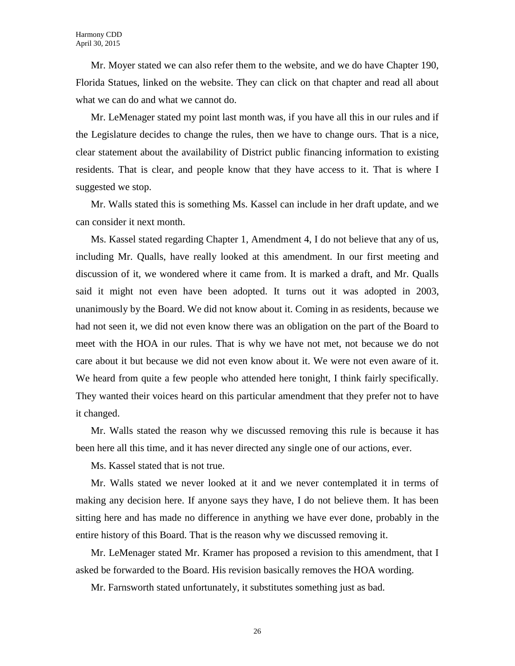Mr. Moyer stated we can also refer them to the website, and we do have Chapter 190, Florida Statues, linked on the website. They can click on that chapter and read all about what we can do and what we cannot do.

Mr. LeMenager stated my point last month was, if you have all this in our rules and if the Legislature decides to change the rules, then we have to change ours. That is a nice, clear statement about the availability of District public financing information to existing residents. That is clear, and people know that they have access to it. That is where I suggested we stop.

Mr. Walls stated this is something Ms. Kassel can include in her draft update, and we can consider it next month.

Ms. Kassel stated regarding Chapter 1, Amendment 4, I do not believe that any of us, including Mr. Qualls, have really looked at this amendment. In our first meeting and discussion of it, we wondered where it came from. It is marked a draft, and Mr. Qualls said it might not even have been adopted. It turns out it was adopted in 2003, unanimously by the Board. We did not know about it. Coming in as residents, because we had not seen it, we did not even know there was an obligation on the part of the Board to meet with the HOA in our rules. That is why we have not met, not because we do not care about it but because we did not even know about it. We were not even aware of it. We heard from quite a few people who attended here tonight, I think fairly specifically. They wanted their voices heard on this particular amendment that they prefer not to have it changed.

Mr. Walls stated the reason why we discussed removing this rule is because it has been here all this time, and it has never directed any single one of our actions, ever.

Ms. Kassel stated that is not true.

Mr. Walls stated we never looked at it and we never contemplated it in terms of making any decision here. If anyone says they have, I do not believe them. It has been sitting here and has made no difference in anything we have ever done, probably in the entire history of this Board. That is the reason why we discussed removing it.

Mr. LeMenager stated Mr. Kramer has proposed a revision to this amendment, that I asked be forwarded to the Board. His revision basically removes the HOA wording.

Mr. Farnsworth stated unfortunately, it substitutes something just as bad.

26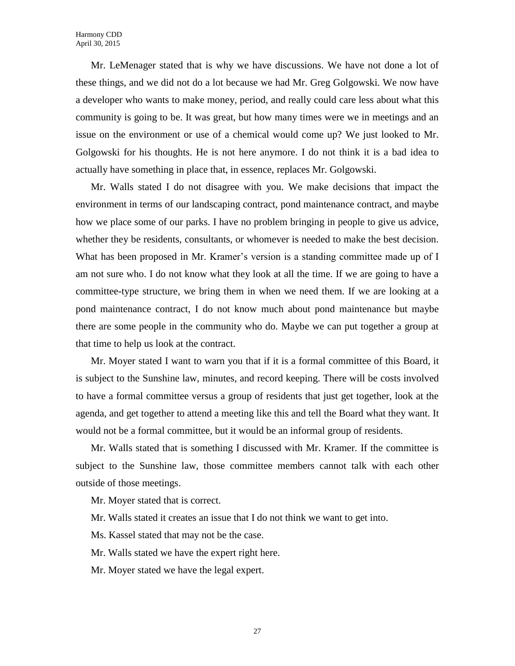Mr. LeMenager stated that is why we have discussions. We have not done a lot of these things, and we did not do a lot because we had Mr. Greg Golgowski. We now have a developer who wants to make money, period, and really could care less about what this community is going to be. It was great, but how many times were we in meetings and an issue on the environment or use of a chemical would come up? We just looked to Mr. Golgowski for his thoughts. He is not here anymore. I do not think it is a bad idea to actually have something in place that, in essence, replaces Mr. Golgowski.

Mr. Walls stated I do not disagree with you. We make decisions that impact the environment in terms of our landscaping contract, pond maintenance contract, and maybe how we place some of our parks. I have no problem bringing in people to give us advice, whether they be residents, consultants, or whomever is needed to make the best decision. What has been proposed in Mr. Kramer's version is a standing committee made up of I am not sure who. I do not know what they look at all the time. If we are going to have a committee-type structure, we bring them in when we need them. If we are looking at a pond maintenance contract, I do not know much about pond maintenance but maybe there are some people in the community who do. Maybe we can put together a group at that time to help us look at the contract.

Mr. Moyer stated I want to warn you that if it is a formal committee of this Board, it is subject to the Sunshine law, minutes, and record keeping. There will be costs involved to have a formal committee versus a group of residents that just get together, look at the agenda, and get together to attend a meeting like this and tell the Board what they want. It would not be a formal committee, but it would be an informal group of residents.

Mr. Walls stated that is something I discussed with Mr. Kramer. If the committee is subject to the Sunshine law, those committee members cannot talk with each other outside of those meetings.

Mr. Moyer stated that is correct.

Mr. Walls stated it creates an issue that I do not think we want to get into.

Ms. Kassel stated that may not be the case.

Mr. Walls stated we have the expert right here.

Mr. Moyer stated we have the legal expert.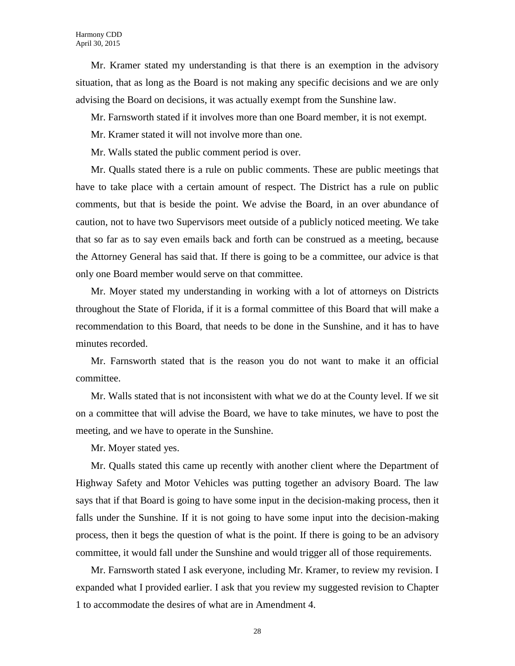Mr. Kramer stated my understanding is that there is an exemption in the advisory situation, that as long as the Board is not making any specific decisions and we are only advising the Board on decisions, it was actually exempt from the Sunshine law.

Mr. Farnsworth stated if it involves more than one Board member, it is not exempt.

Mr. Kramer stated it will not involve more than one.

Mr. Walls stated the public comment period is over.

Mr. Qualls stated there is a rule on public comments. These are public meetings that have to take place with a certain amount of respect. The District has a rule on public comments, but that is beside the point. We advise the Board, in an over abundance of caution, not to have two Supervisors meet outside of a publicly noticed meeting. We take that so far as to say even emails back and forth can be construed as a meeting, because the Attorney General has said that. If there is going to be a committee, our advice is that only one Board member would serve on that committee.

Mr. Moyer stated my understanding in working with a lot of attorneys on Districts throughout the State of Florida, if it is a formal committee of this Board that will make a recommendation to this Board, that needs to be done in the Sunshine, and it has to have minutes recorded.

Mr. Farnsworth stated that is the reason you do not want to make it an official committee.

Mr. Walls stated that is not inconsistent with what we do at the County level. If we sit on a committee that will advise the Board, we have to take minutes, we have to post the meeting, and we have to operate in the Sunshine.

Mr. Moyer stated yes.

Mr. Qualls stated this came up recently with another client where the Department of Highway Safety and Motor Vehicles was putting together an advisory Board. The law says that if that Board is going to have some input in the decision-making process, then it falls under the Sunshine. If it is not going to have some input into the decision-making process, then it begs the question of what is the point. If there is going to be an advisory committee, it would fall under the Sunshine and would trigger all of those requirements.

Mr. Farnsworth stated I ask everyone, including Mr. Kramer, to review my revision. I expanded what I provided earlier. I ask that you review my suggested revision to Chapter 1 to accommodate the desires of what are in Amendment 4.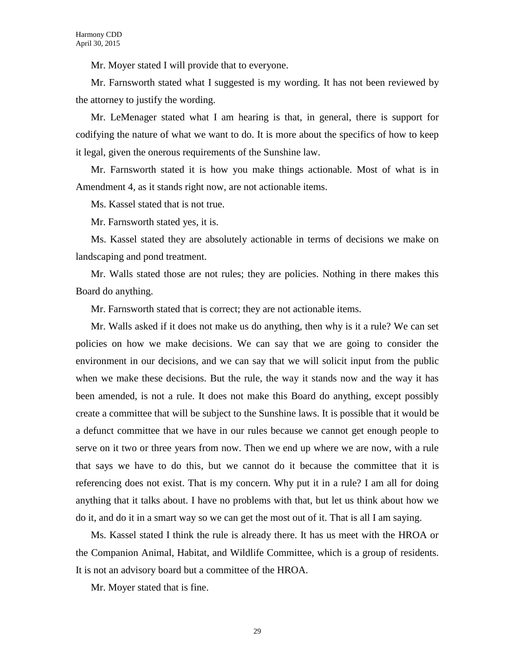Mr. Moyer stated I will provide that to everyone.

Mr. Farnsworth stated what I suggested is my wording. It has not been reviewed by the attorney to justify the wording.

Mr. LeMenager stated what I am hearing is that, in general, there is support for codifying the nature of what we want to do. It is more about the specifics of how to keep it legal, given the onerous requirements of the Sunshine law.

Mr. Farnsworth stated it is how you make things actionable. Most of what is in Amendment 4, as it stands right now, are not actionable items.

Ms. Kassel stated that is not true.

Mr. Farnsworth stated yes, it is.

Ms. Kassel stated they are absolutely actionable in terms of decisions we make on landscaping and pond treatment.

Mr. Walls stated those are not rules; they are policies. Nothing in there makes this Board do anything.

Mr. Farnsworth stated that is correct; they are not actionable items.

Mr. Walls asked if it does not make us do anything, then why is it a rule? We can set policies on how we make decisions. We can say that we are going to consider the environment in our decisions, and we can say that we will solicit input from the public when we make these decisions. But the rule, the way it stands now and the way it has been amended, is not a rule. It does not make this Board do anything, except possibly create a committee that will be subject to the Sunshine laws. It is possible that it would be a defunct committee that we have in our rules because we cannot get enough people to serve on it two or three years from now. Then we end up where we are now, with a rule that says we have to do this, but we cannot do it because the committee that it is referencing does not exist. That is my concern. Why put it in a rule? I am all for doing anything that it talks about. I have no problems with that, but let us think about how we do it, and do it in a smart way so we can get the most out of it. That is all I am saying.

Ms. Kassel stated I think the rule is already there. It has us meet with the HROA or the Companion Animal, Habitat, and Wildlife Committee, which is a group of residents. It is not an advisory board but a committee of the HROA.

Mr. Moyer stated that is fine.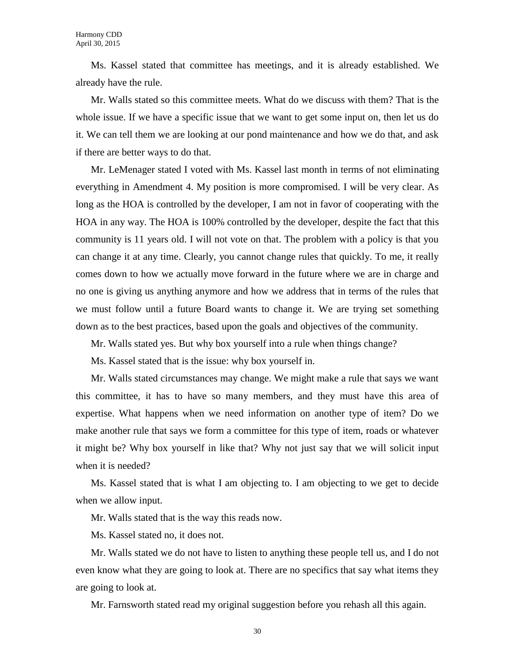Ms. Kassel stated that committee has meetings, and it is already established. We already have the rule.

Mr. Walls stated so this committee meets. What do we discuss with them? That is the whole issue. If we have a specific issue that we want to get some input on, then let us do it. We can tell them we are looking at our pond maintenance and how we do that, and ask if there are better ways to do that.

Mr. LeMenager stated I voted with Ms. Kassel last month in terms of not eliminating everything in Amendment 4. My position is more compromised. I will be very clear. As long as the HOA is controlled by the developer, I am not in favor of cooperating with the HOA in any way. The HOA is 100% controlled by the developer, despite the fact that this community is 11 years old. I will not vote on that. The problem with a policy is that you can change it at any time. Clearly, you cannot change rules that quickly. To me, it really comes down to how we actually move forward in the future where we are in charge and no one is giving us anything anymore and how we address that in terms of the rules that we must follow until a future Board wants to change it. We are trying set something down as to the best practices, based upon the goals and objectives of the community.

Mr. Walls stated yes. But why box yourself into a rule when things change?

Ms. Kassel stated that is the issue: why box yourself in.

Mr. Walls stated circumstances may change. We might make a rule that says we want this committee, it has to have so many members, and they must have this area of expertise. What happens when we need information on another type of item? Do we make another rule that says we form a committee for this type of item, roads or whatever it might be? Why box yourself in like that? Why not just say that we will solicit input when it is needed?

Ms. Kassel stated that is what I am objecting to. I am objecting to we get to decide when we allow input.

Mr. Walls stated that is the way this reads now.

Ms. Kassel stated no, it does not.

Mr. Walls stated we do not have to listen to anything these people tell us, and I do not even know what they are going to look at. There are no specifics that say what items they are going to look at.

Mr. Farnsworth stated read my original suggestion before you rehash all this again.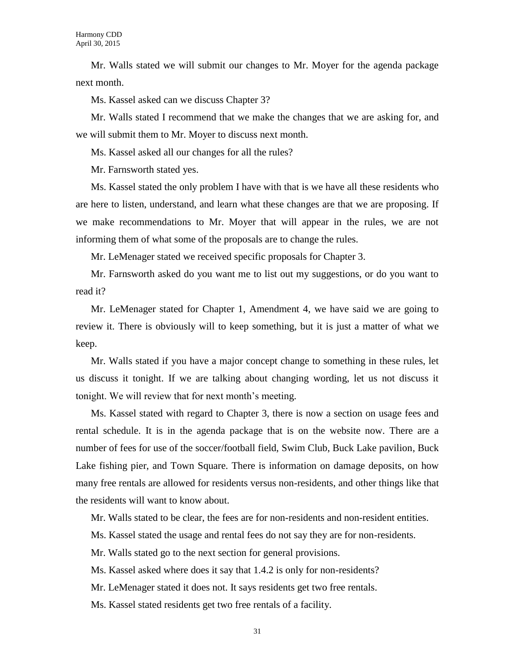Mr. Walls stated we will submit our changes to Mr. Moyer for the agenda package next month.

Ms. Kassel asked can we discuss Chapter 3?

Mr. Walls stated I recommend that we make the changes that we are asking for, and we will submit them to Mr. Moyer to discuss next month.

Ms. Kassel asked all our changes for all the rules?

Mr. Farnsworth stated yes.

Ms. Kassel stated the only problem I have with that is we have all these residents who are here to listen, understand, and learn what these changes are that we are proposing. If we make recommendations to Mr. Moyer that will appear in the rules, we are not informing them of what some of the proposals are to change the rules.

Mr. LeMenager stated we received specific proposals for Chapter 3.

Mr. Farnsworth asked do you want me to list out my suggestions, or do you want to read it?

Mr. LeMenager stated for Chapter 1, Amendment 4, we have said we are going to review it. There is obviously will to keep something, but it is just a matter of what we keep.

Mr. Walls stated if you have a major concept change to something in these rules, let us discuss it tonight. If we are talking about changing wording, let us not discuss it tonight. We will review that for next month's meeting.

Ms. Kassel stated with regard to Chapter 3, there is now a section on usage fees and rental schedule. It is in the agenda package that is on the website now. There are a number of fees for use of the soccer/football field, Swim Club, Buck Lake pavilion, Buck Lake fishing pier, and Town Square. There is information on damage deposits, on how many free rentals are allowed for residents versus non-residents, and other things like that the residents will want to know about.

Mr. Walls stated to be clear, the fees are for non-residents and non-resident entities.

Ms. Kassel stated the usage and rental fees do not say they are for non-residents.

Mr. Walls stated go to the next section for general provisions.

Ms. Kassel asked where does it say that 1.4.2 is only for non-residents?

Mr. LeMenager stated it does not. It says residents get two free rentals.

Ms. Kassel stated residents get two free rentals of a facility.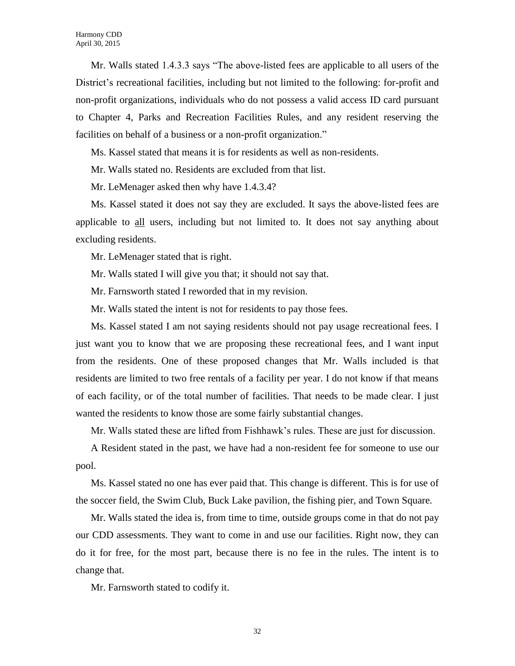Mr. Walls stated 1.4.3.3 says "The above-listed fees are applicable to all users of the District's recreational facilities, including but not limited to the following: for-profit and non-profit organizations, individuals who do not possess a valid access ID card pursuant to Chapter 4, Parks and Recreation Facilities Rules, and any resident reserving the facilities on behalf of a business or a non-profit organization."

Ms. Kassel stated that means it is for residents as well as non-residents.

Mr. Walls stated no. Residents are excluded from that list.

Mr. LeMenager asked then why have 1.4.3.4?

Ms. Kassel stated it does not say they are excluded. It says the above-listed fees are applicable to all users, including but not limited to. It does not say anything about excluding residents.

Mr. LeMenager stated that is right.

Mr. Walls stated I will give you that; it should not say that.

Mr. Farnsworth stated I reworded that in my revision.

Mr. Walls stated the intent is not for residents to pay those fees.

Ms. Kassel stated I am not saying residents should not pay usage recreational fees. I just want you to know that we are proposing these recreational fees, and I want input from the residents. One of these proposed changes that Mr. Walls included is that residents are limited to two free rentals of a facility per year. I do not know if that means of each facility, or of the total number of facilities. That needs to be made clear. I just wanted the residents to know those are some fairly substantial changes.

Mr. Walls stated these are lifted from Fishhawk's rules. These are just for discussion.

A Resident stated in the past, we have had a non-resident fee for someone to use our pool.

Ms. Kassel stated no one has ever paid that. This change is different. This is for use of the soccer field, the Swim Club, Buck Lake pavilion, the fishing pier, and Town Square.

Mr. Walls stated the idea is, from time to time, outside groups come in that do not pay our CDD assessments. They want to come in and use our facilities. Right now, they can do it for free, for the most part, because there is no fee in the rules. The intent is to change that.

Mr. Farnsworth stated to codify it.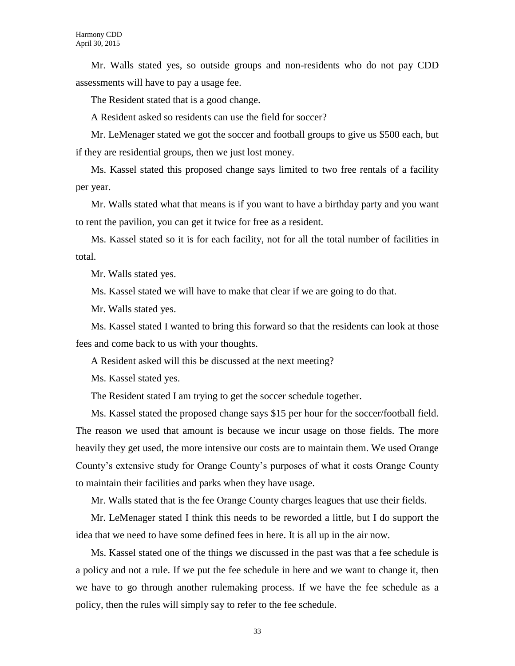Mr. Walls stated yes, so outside groups and non-residents who do not pay CDD assessments will have to pay a usage fee.

The Resident stated that is a good change.

A Resident asked so residents can use the field for soccer?

Mr. LeMenager stated we got the soccer and football groups to give us \$500 each, but if they are residential groups, then we just lost money.

Ms. Kassel stated this proposed change says limited to two free rentals of a facility per year.

Mr. Walls stated what that means is if you want to have a birthday party and you want to rent the pavilion, you can get it twice for free as a resident.

Ms. Kassel stated so it is for each facility, not for all the total number of facilities in total.

Mr. Walls stated yes.

Ms. Kassel stated we will have to make that clear if we are going to do that.

Mr. Walls stated yes.

Ms. Kassel stated I wanted to bring this forward so that the residents can look at those fees and come back to us with your thoughts.

A Resident asked will this be discussed at the next meeting?

Ms. Kassel stated yes.

The Resident stated I am trying to get the soccer schedule together.

Ms. Kassel stated the proposed change says \$15 per hour for the soccer/football field. The reason we used that amount is because we incur usage on those fields. The more heavily they get used, the more intensive our costs are to maintain them. We used Orange County's extensive study for Orange County's purposes of what it costs Orange County to maintain their facilities and parks when they have usage.

Mr. Walls stated that is the fee Orange County charges leagues that use their fields.

Mr. LeMenager stated I think this needs to be reworded a little, but I do support the idea that we need to have some defined fees in here. It is all up in the air now.

Ms. Kassel stated one of the things we discussed in the past was that a fee schedule is a policy and not a rule. If we put the fee schedule in here and we want to change it, then we have to go through another rulemaking process. If we have the fee schedule as a policy, then the rules will simply say to refer to the fee schedule.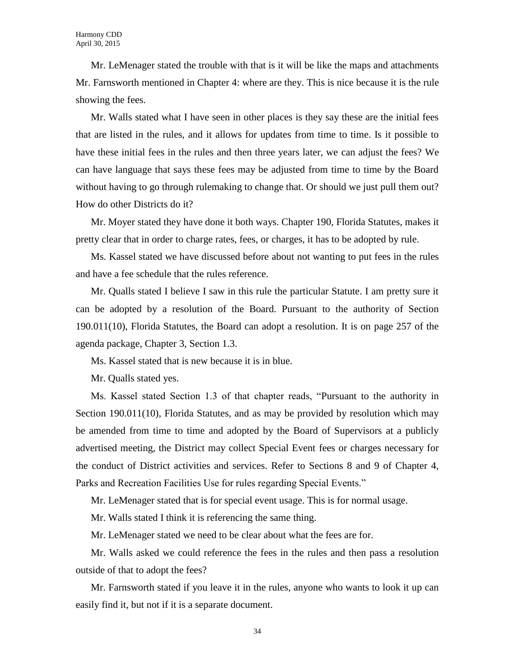Mr. LeMenager stated the trouble with that is it will be like the maps and attachments Mr. Farnsworth mentioned in Chapter 4: where are they. This is nice because it is the rule showing the fees.

Mr. Walls stated what I have seen in other places is they say these are the initial fees that are listed in the rules, and it allows for updates from time to time. Is it possible to have these initial fees in the rules and then three years later, we can adjust the fees? We can have language that says these fees may be adjusted from time to time by the Board without having to go through rulemaking to change that. Or should we just pull them out? How do other Districts do it?

Mr. Moyer stated they have done it both ways. Chapter 190, Florida Statutes, makes it pretty clear that in order to charge rates, fees, or charges, it has to be adopted by rule.

Ms. Kassel stated we have discussed before about not wanting to put fees in the rules and have a fee schedule that the rules reference.

Mr. Qualls stated I believe I saw in this rule the particular Statute. I am pretty sure it can be adopted by a resolution of the Board. Pursuant to the authority of Section 190.011(10), Florida Statutes, the Board can adopt a resolution. It is on page 257 of the agenda package, Chapter 3, Section 1.3.

Ms. Kassel stated that is new because it is in blue.

Mr. Qualls stated yes.

Ms. Kassel stated Section 1.3 of that chapter reads, "Pursuant to the authority in Section 190.011(10), Florida Statutes, and as may be provided by resolution which may be amended from time to time and adopted by the Board of Supervisors at a publicly advertised meeting, the District may collect Special Event fees or charges necessary for the conduct of District activities and services. Refer to Sections 8 and 9 of Chapter 4, Parks and Recreation Facilities Use for rules regarding Special Events."

Mr. LeMenager stated that is for special event usage. This is for normal usage.

Mr. Walls stated I think it is referencing the same thing.

Mr. LeMenager stated we need to be clear about what the fees are for.

Mr. Walls asked we could reference the fees in the rules and then pass a resolution outside of that to adopt the fees?

Mr. Farnsworth stated if you leave it in the rules, anyone who wants to look it up can easily find it, but not if it is a separate document.

34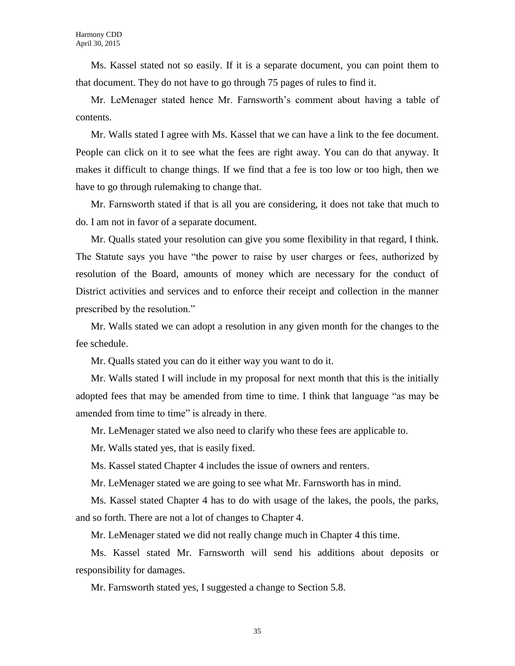Ms. Kassel stated not so easily. If it is a separate document, you can point them to that document. They do not have to go through 75 pages of rules to find it.

Mr. LeMenager stated hence Mr. Farnsworth's comment about having a table of contents.

Mr. Walls stated I agree with Ms. Kassel that we can have a link to the fee document. People can click on it to see what the fees are right away. You can do that anyway. It makes it difficult to change things. If we find that a fee is too low or too high, then we have to go through rulemaking to change that.

Mr. Farnsworth stated if that is all you are considering, it does not take that much to do. I am not in favor of a separate document.

Mr. Qualls stated your resolution can give you some flexibility in that regard, I think. The Statute says you have "the power to raise by user charges or fees, authorized by resolution of the Board, amounts of money which are necessary for the conduct of District activities and services and to enforce their receipt and collection in the manner prescribed by the resolution."

Mr. Walls stated we can adopt a resolution in any given month for the changes to the fee schedule.

Mr. Qualls stated you can do it either way you want to do it.

Mr. Walls stated I will include in my proposal for next month that this is the initially adopted fees that may be amended from time to time. I think that language "as may be amended from time to time" is already in there.

Mr. LeMenager stated we also need to clarify who these fees are applicable to.

Mr. Walls stated yes, that is easily fixed.

Ms. Kassel stated Chapter 4 includes the issue of owners and renters.

Mr. LeMenager stated we are going to see what Mr. Farnsworth has in mind.

Ms. Kassel stated Chapter 4 has to do with usage of the lakes, the pools, the parks, and so forth. There are not a lot of changes to Chapter 4.

Mr. LeMenager stated we did not really change much in Chapter 4 this time.

Ms. Kassel stated Mr. Farnsworth will send his additions about deposits or responsibility for damages.

Mr. Farnsworth stated yes, I suggested a change to Section 5.8.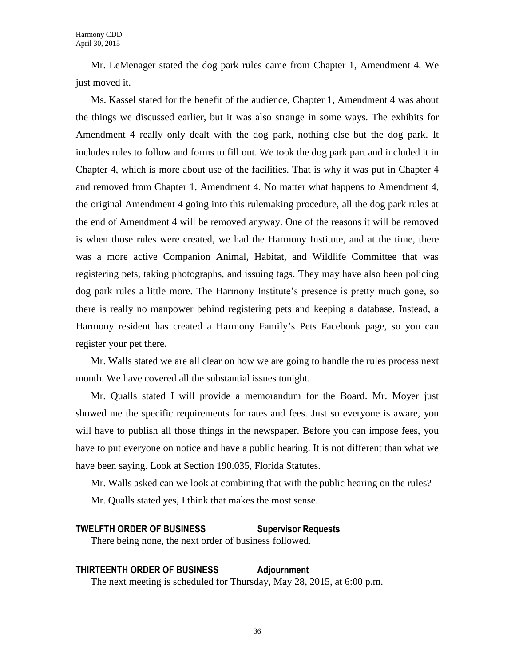Mr. LeMenager stated the dog park rules came from Chapter 1, Amendment 4. We just moved it.

Ms. Kassel stated for the benefit of the audience, Chapter 1, Amendment 4 was about the things we discussed earlier, but it was also strange in some ways. The exhibits for Amendment 4 really only dealt with the dog park, nothing else but the dog park. It includes rules to follow and forms to fill out. We took the dog park part and included it in Chapter 4, which is more about use of the facilities. That is why it was put in Chapter 4 and removed from Chapter 1, Amendment 4. No matter what happens to Amendment 4, the original Amendment 4 going into this rulemaking procedure, all the dog park rules at the end of Amendment 4 will be removed anyway. One of the reasons it will be removed is when those rules were created, we had the Harmony Institute, and at the time, there was a more active Companion Animal, Habitat, and Wildlife Committee that was registering pets, taking photographs, and issuing tags. They may have also been policing dog park rules a little more. The Harmony Institute's presence is pretty much gone, so there is really no manpower behind registering pets and keeping a database. Instead, a Harmony resident has created a Harmony Family's Pets Facebook page, so you can register your pet there.

Mr. Walls stated we are all clear on how we are going to handle the rules process next month. We have covered all the substantial issues tonight.

Mr. Qualls stated I will provide a memorandum for the Board. Mr. Moyer just showed me the specific requirements for rates and fees. Just so everyone is aware, you will have to publish all those things in the newspaper. Before you can impose fees, you have to put everyone on notice and have a public hearing. It is not different than what we have been saying. Look at Section 190.035, Florida Statutes.

Mr. Walls asked can we look at combining that with the public hearing on the rules? Mr. Qualls stated yes, I think that makes the most sense.

## **TWELFTH ORDER OF BUSINESS Supervisor Requests**

There being none, the next order of business followed.

**THIRTEENTH ORDER OF BUSINESS Adjournment** The next meeting is scheduled for Thursday, May 28, 2015, at 6:00 p.m.